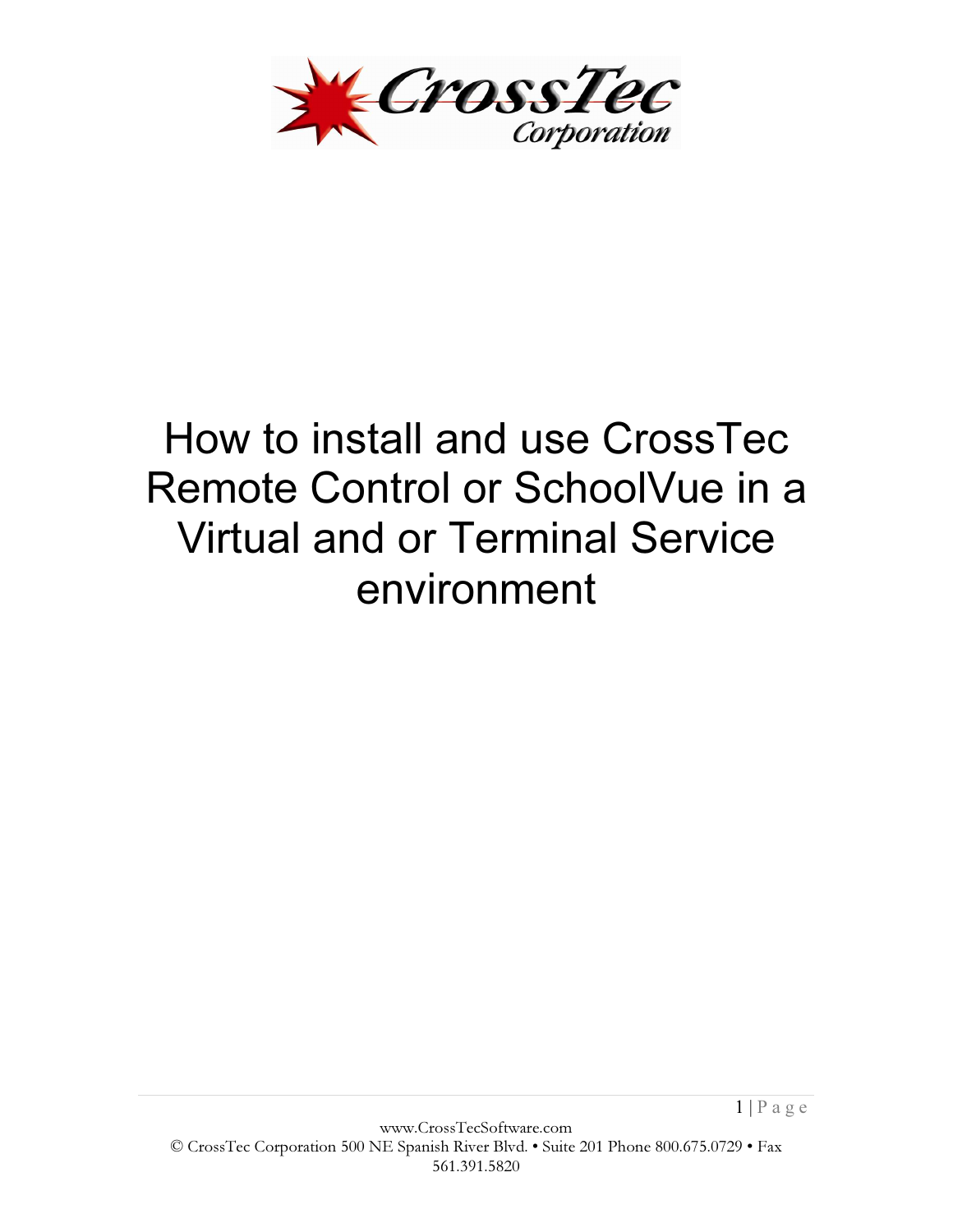

# How to install and use CrossTec Remote Control or SchoolVue in a Virtual and or Terminal Service environment

 $1 | P \text{ a } g \text{ e}$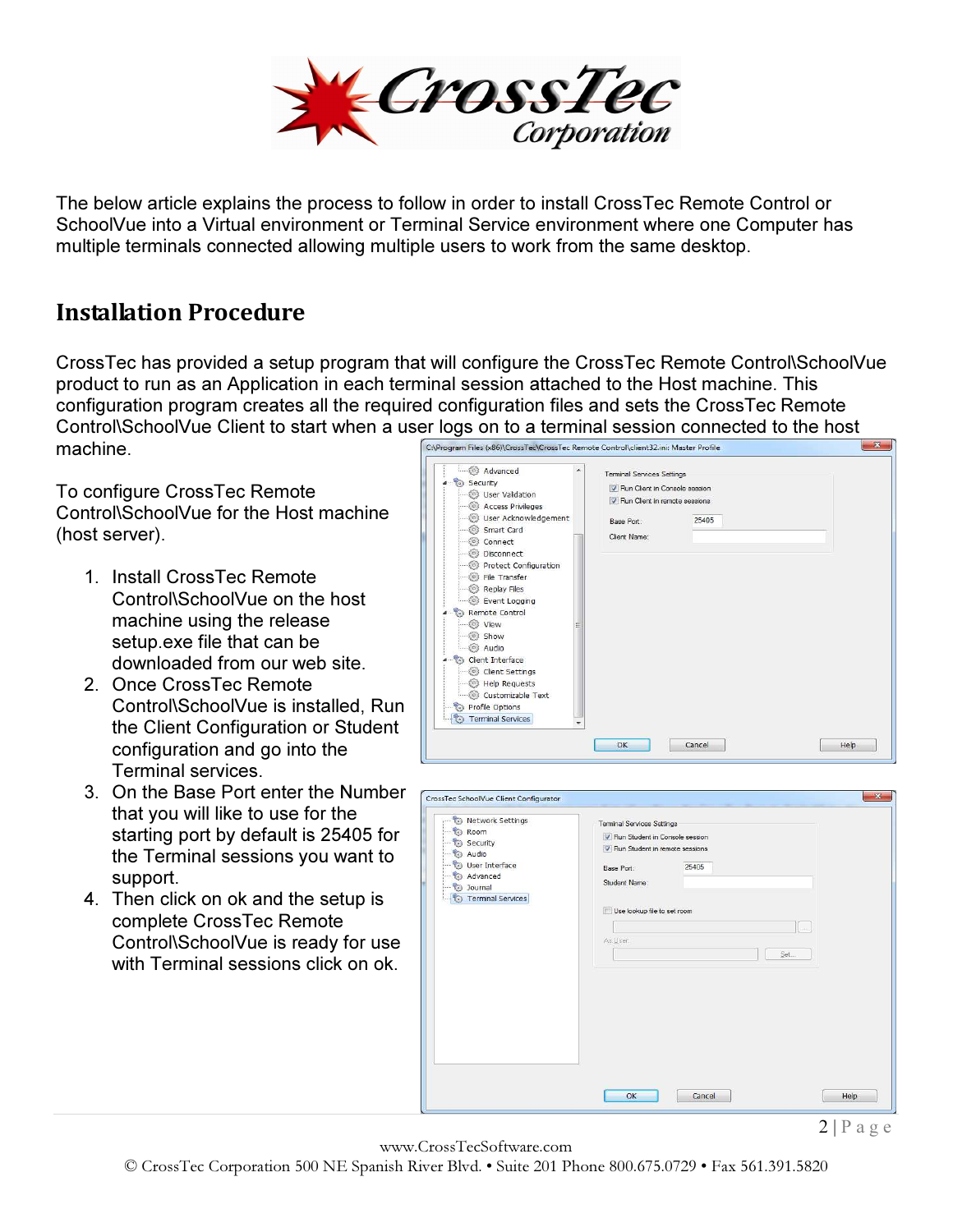

The below article explains the process to follow in order to install CrossTec Remote Control or SchoolVue into a Virtual environment or Terminal Service environment where one Computer has multiple terminals connected allowing multiple users to work from the same desktop.

### Installation Procedure

CrossTec has provided a setup program that will configure the CrossTec Remote Control\SchoolVue product to run as an Application in each terminal session attached to the Host machine. This configuration program creates all the required configuration files and sets the CrossTec Remote Control\SchoolVue Client to start when a user logs on to a terminal session connected to the host machine<br>Controgram Files (x86)\CrossTec\CrossTec\CrossTec\CrossTec\CrossTec\CrossTec\CrossTec\CrossTec\CrossTec\CrossTec\Cro machine.

To configure CrossTec Remote Control\SchoolVue for the Host machine (host server).

- 1. Install CrossTec Remote Control\SchoolVue on the host machine using the release setup.exe file that can be downloaded from our web site.
- 2. Once CrossTec Remote Control\SchoolVue is installed, Run the Client Configuration or Student configuration and go into the Terminal services.
- 3. On the Base Port enter the Number that you will like to use for the starting port by default is 25405 for the Terminal sessions you want to support.
- 4. Then click on ok and the setup is complete CrossTec Remote Control\SchoolVue is ready for use with Terminal sessions click on ok.



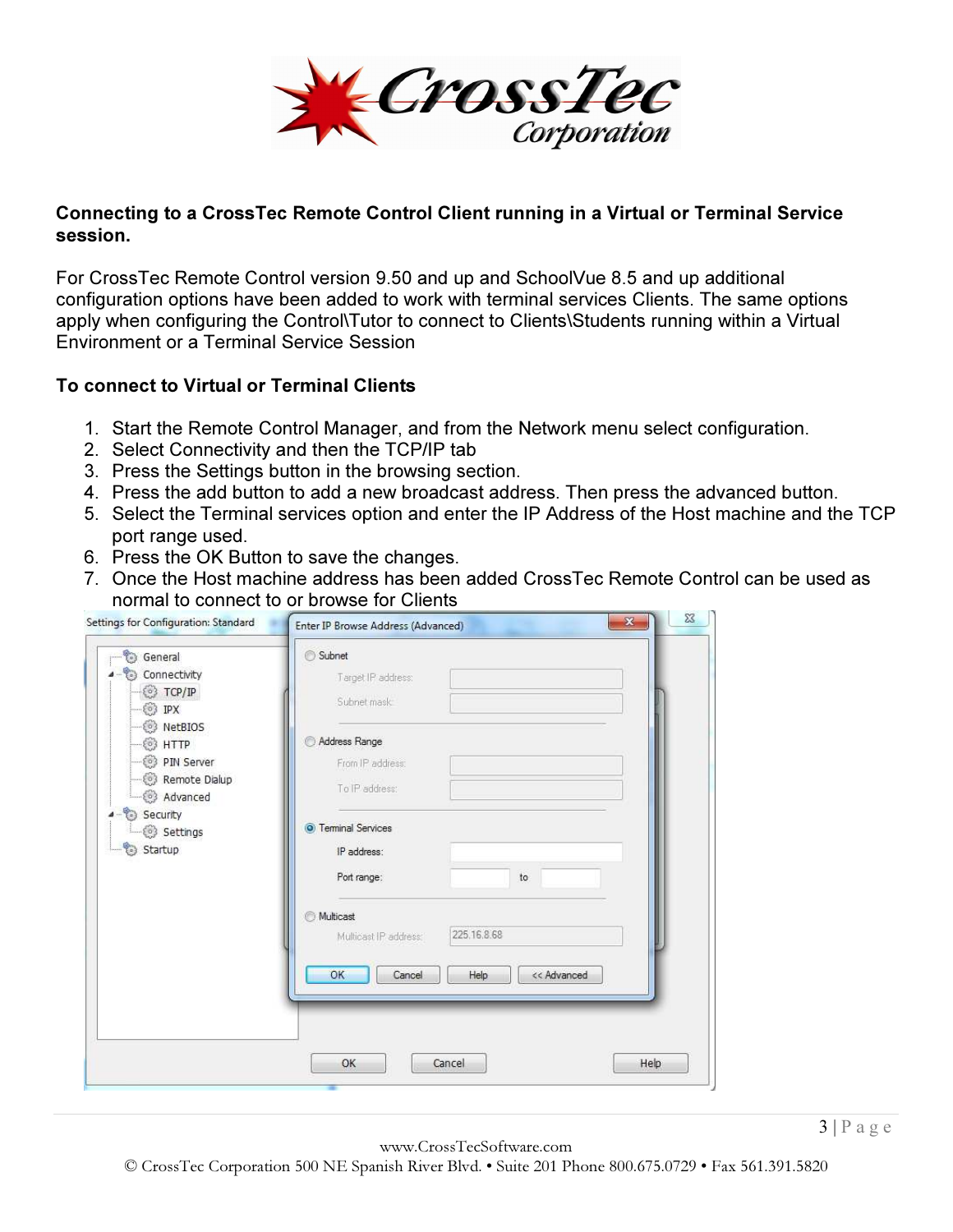

#### Connecting to a CrossTec Remote Control Client running in a Virtual or Terminal Service session.

For CrossTec Remote Control version 9.50 and up and SchoolVue 8.5 and up additional configuration options have been added to work with terminal services Clients. The same options apply when configuring the Control\Tutor to connect to Clients\Students running within a Virtual Environment or a Terminal Service Session

#### To connect to Virtual or Terminal Clients

- 1. Start the Remote Control Manager, and from the Network menu select configuration.
- 2. Select Connectivity and then the TCP/IP tab
- 3. Press the Settings button in the browsing section.
- 4. Press the add button to add a new broadcast address. Then press the advanced button.
- 5. Select the Terminal services option and enter the IP Address of the Host machine and the TCP port range used.
- 6. Press the OK Button to save the changes.
- 7. Once the Host machine address has been added CrossTec Remote Control can be used as normal to connect to or browse for Clients

| <b>B</b> General                          | Subnet                               |  |
|-------------------------------------------|--------------------------------------|--|
| Connectivity                              | Target IP address:                   |  |
| TCP/IP<br>IPX<br>ö3                       | Subnet mask                          |  |
| <sup>3</sup> NetBIOS<br><sup>o</sup> HTTP | Address Range                        |  |
| PIN Server                                | From IP address:                     |  |
| Remote Dialup<br>Advanced                 | To IP address:                       |  |
| Security<br>Settings                      | <b>O</b> Terminal Services           |  |
| Startup                                   | IP address:                          |  |
|                                           | Port range:<br>to                    |  |
|                                           | <b>Multicast</b>                     |  |
|                                           | 225.16.8.68<br>Multicast IP address: |  |
|                                           | OK<br>Cancel<br>Help<br><< Advanced  |  |
|                                           |                                      |  |
|                                           |                                      |  |
|                                           | Help                                 |  |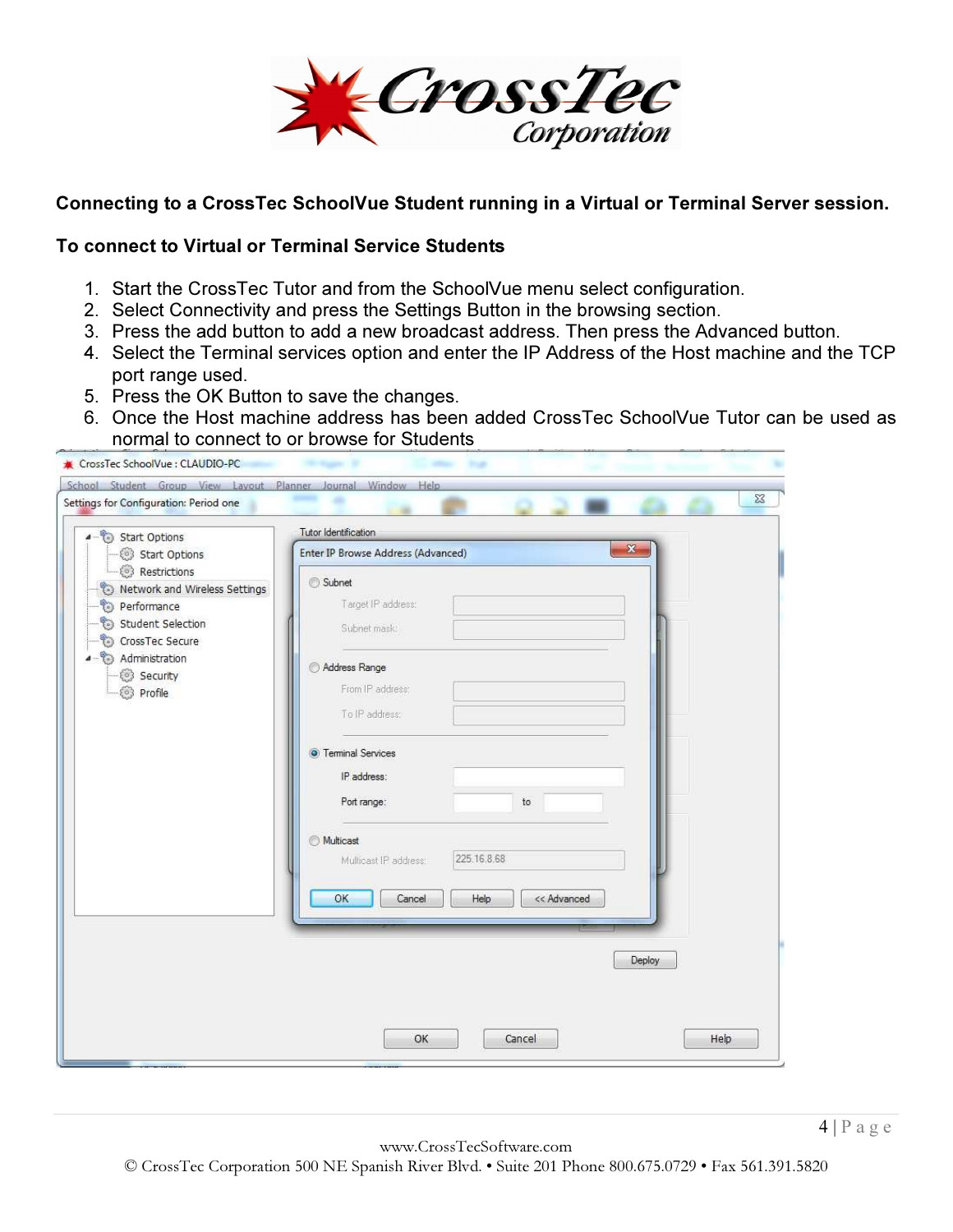

#### Connecting to a CrossTec SchoolVue Student running in a Virtual or Terminal Server session.

#### To connect to Virtual or Terminal Service Students

- 1. Start the CrossTec Tutor and from the SchoolVue menu select configuration.
- 2. Select Connectivity and press the Settings Button in the browsing section.
- 3. Press the add button to add a new broadcast address. Then press the Advanced button.
- 4. Select the Terminal services option and enter the IP Address of the Host machine and the TCP port range used.
- 5. Press the OK Button to save the changes.
- 6. Once the Host machine address has been added CrossTec SchoolVue Tutor can be used as normal to connect to or browse for Students

| CrossTec SchoolVue : CLAUDIO-PC                                                                                                                              |                                                   |            |
|--------------------------------------------------------------------------------------------------------------------------------------------------------------|---------------------------------------------------|------------|
| School Student Group View Layout Planner Journal Window Help                                                                                                 |                                                   |            |
| Settings for Configuration: Period one                                                                                                                       |                                                   | $\Sigma\!$ |
| 4 <sup>-</sup> Start Options                                                                                                                                 | Tutor Identification                              |            |
| Start Options                                                                                                                                                | x<br>Enter IP Browse Address (Advanced)           |            |
| Restrictions<br>Network and Wireless Settings<br>Performance<br>t.<br>Student Selection<br>CrossTec Secure<br>Administration<br>Security<br><b>S</b> Profile | Subnet<br>Target IP address:                      |            |
|                                                                                                                                                              | Subnet mask:                                      |            |
|                                                                                                                                                              | Address Range<br>From IP address:                 |            |
|                                                                                                                                                              | To IP address:                                    |            |
|                                                                                                                                                              | <b>O</b> Teminal Services<br>IP address:          |            |
|                                                                                                                                                              | Port range:<br>to                                 |            |
|                                                                                                                                                              | Multicast<br>225.16.8.68<br>Multicast IP address: |            |
|                                                                                                                                                              | OK<br>Help<br><< Advanced<br>Cancel               |            |
|                                                                                                                                                              |                                                   |            |
|                                                                                                                                                              | Deploy                                            |            |
|                                                                                                                                                              |                                                   |            |
|                                                                                                                                                              | OK<br>Cancel                                      | Help       |
|                                                                                                                                                              |                                                   |            |